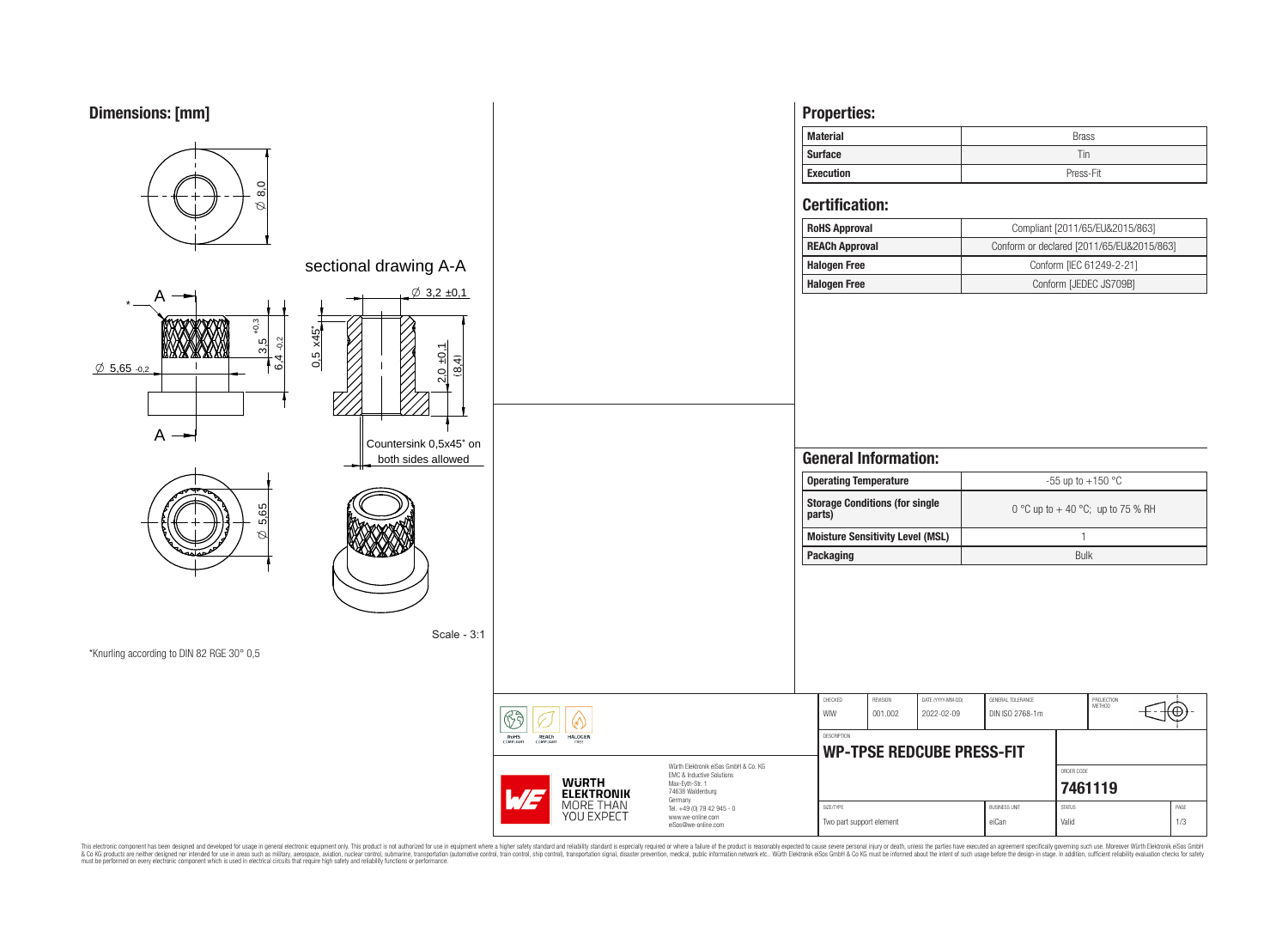# **Dimensions: [mm]**



This electronic component has been designed and developed for usage in general electronic equipment only. This product is not authorized for subserved requipment where a higher selection equipment where a higher selection

eiSos@we-online.com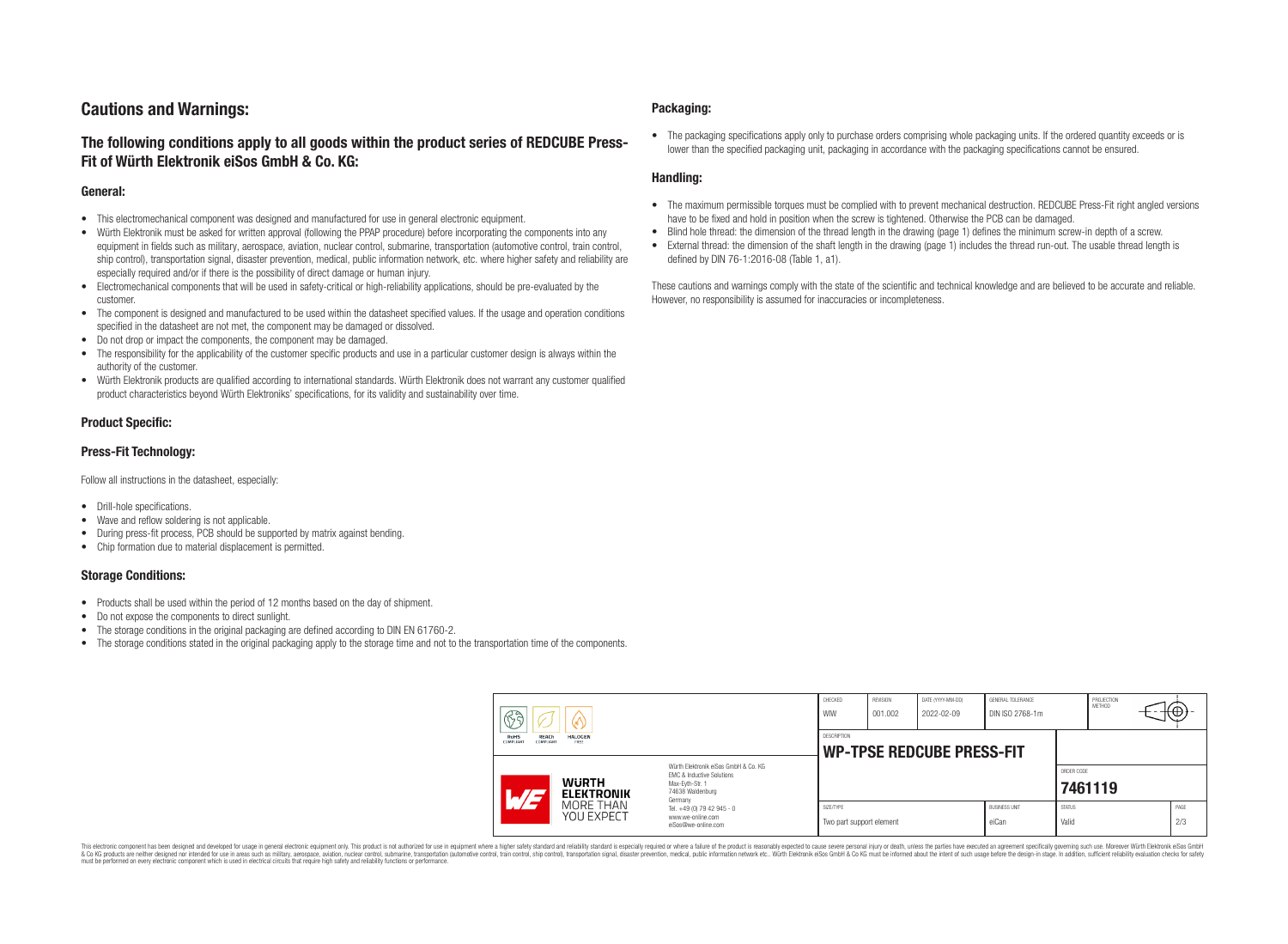# **Cautions and Warnings:**

## **The following conditions apply to all goods within the product series of REDCUBE Press-Fit of Würth Elektronik eiSos GmbH & Co. KG:**

### **General:**

- This electromechanical component was designed and manufactured for use in general electronic equipment.
- Würth Elektronik must be asked for written approval (following the PPAP procedure) before incorporating the components into any equipment in fields such as military, aerospace, aviation, nuclear control, submarine, transportation (automotive control, train control, ship control), transportation signal, disaster prevention, medical, public information network, etc. where higher safety and reliability are especially required and/or if there is the possibility of direct damage or human injury.
- Electromechanical components that will be used in safety-critical or high-reliability applications, should be pre-evaluated by the customer.
- The component is designed and manufactured to be used within the datasheet specified values. If the usage and operation conditions specified in the datasheet are not met, the component may be damaged or dissolved.
- Do not drop or impact the components, the component may be damaged.
- The responsibility for the applicability of the customer specific products and use in a particular customer design is always within the authority of the customer.
- Würth Elektronik products are qualified according to international standards. Würth Elektronik does not warrant any customer qualified product characteristics beyond Würth Elektroniks' specifications, for its validity and sustainability over time.

### **Product Specific:**

### **Press-Fit Technology:**

Follow all instructions in the datasheet, especially:

- Drill-hole specifications.
- Wave and reflow soldering is not applicable.
- During press-fit process, PCB should be supported by matrix against bending.
- Chip formation due to material displacement is permitted.

### **Storage Conditions:**

- Products shall be used within the period of 12 months based on the day of shipment.
- Do not expose the components to direct sunlight.
- The storage conditions in the original packaging are defined according to DIN EN 61760-2.
- The storage conditions stated in the original packaging apply to the storage time and not to the transportation time of the components.

### **Packaging:**

• The packaging specifications apply only to purchase orders comprising whole packaging units. If the ordered quantity exceeds or is lower than the specified packaging unit, packaging in accordance with the packaging specifications cannot be ensured.

### **Handling:**

- The maximum permissible torques must be complied with to prevent mechanical destruction. REDCUBE Press-Fit right angled versions have to be fixed and hold in position when the screw is tightened. Otherwise the PCB can be damaged.
- Blind hole thread: the dimension of the thread length in the drawing (page 1) defines the minimum screw-in depth of a screw.
- External thread: the dimension of the shaft length in the drawing (page 1) includes the thread run-out. The usable thread length is defined by DIN 76-1:2016-08 (Table 1, a1).

These cautions and warnings comply with the state of the scientific and technical knowledge and are believed to be accurate and reliable. However, no responsibility is assumed for inaccuracies or incompleteness.

| H<br>RoHS<br>REACh<br><b>HALOGEN</b><br>COMPLIANT<br>FREE<br><b>COMPLIANT</b> |                                                                                                                                                                                               | CHECKED<br>WIW                                         | <b>REVISION</b><br>001.002 | DATE (YYYY-MM-DD)<br>2022-02-09 | GENERAL TOLERANCE<br>DIN ISO 2768-1m |                        | PROJECTION<br><b>METHOD</b> |  | ι€          |
|-------------------------------------------------------------------------------|-----------------------------------------------------------------------------------------------------------------------------------------------------------------------------------------------|--------------------------------------------------------|----------------------------|---------------------------------|--------------------------------------|------------------------|-----------------------------|--|-------------|
|                                                                               |                                                                                                                                                                                               | <b>DESCRIPTION</b><br><b>WP-TPSE REDCUBE PRESS-FIT</b> |                            |                                 |                                      |                        |                             |  |             |
| <b>WURTH</b><br>$\sqrt{H}$<br><b>ELEKTRONIK</b>                               | Würth Elektronik eiSos GmbH & Co. KG<br>FMC & Inductive Solutions<br>Max-Eyth-Str. 1<br>74638 Waldenburg<br>Germany<br>Tel. +49 (0) 79 42 945 - 0<br>www.we-online.com<br>eiSos@we-online.com |                                                        |                            |                                 |                                      |                        | ORDER CODE<br>7461119       |  |             |
| MORE THAN<br>YOU EXPECT                                                       |                                                                                                                                                                                               | SIZE/TYPE<br>Two part support element                  |                            |                                 | <b>BUSINESS UNIT</b><br>eiCan        | <b>STATUS</b><br>Valid |                             |  | PAGE<br>2/3 |

This electronic component has been designed and developed for usage in general electronic equipment only. This product is not authorized for use in equipment where a higher safety standard and reliability standard si espec & Ook product a label and the membed of the seasuch as marked and as which such a membed and the such assume that income in the seasuch and the simulation and the such assume that include to the such a membed and the such